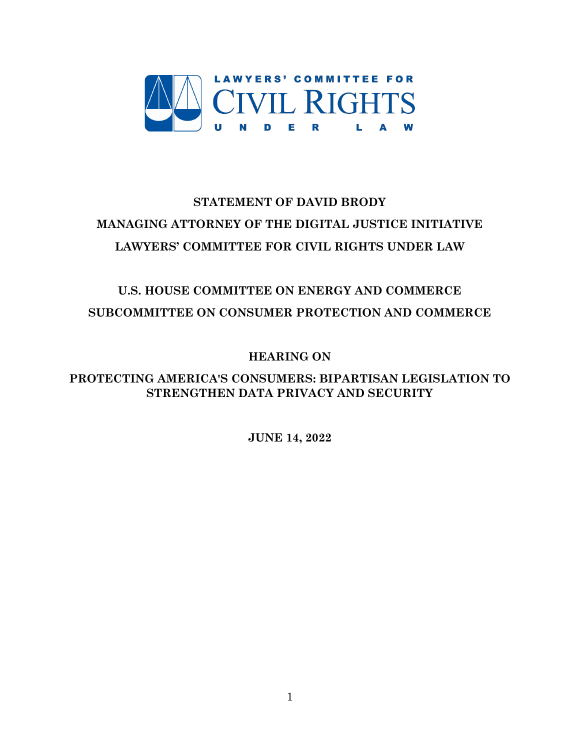

# **STATEMENT OF DAVID BRODY MANAGING ATTORNEY OF THE DIGITAL JUSTICE INITIATIVE LAWYERS' COMMITTEE FOR CIVIL RIGHTS UNDER LAW**

## **U.S. HOUSE COMMITTEE ON ENERGY AND COMMERCE SUBCOMMITTEE ON CONSUMER PROTECTION AND COMMERCE**

**HEARING ON**

**PROTECTING AMERICA'S CONSUMERS: BIPARTISAN LEGISLATION TO STRENGTHEN DATA PRIVACY AND SECURITY**

**JUNE 14, 2022**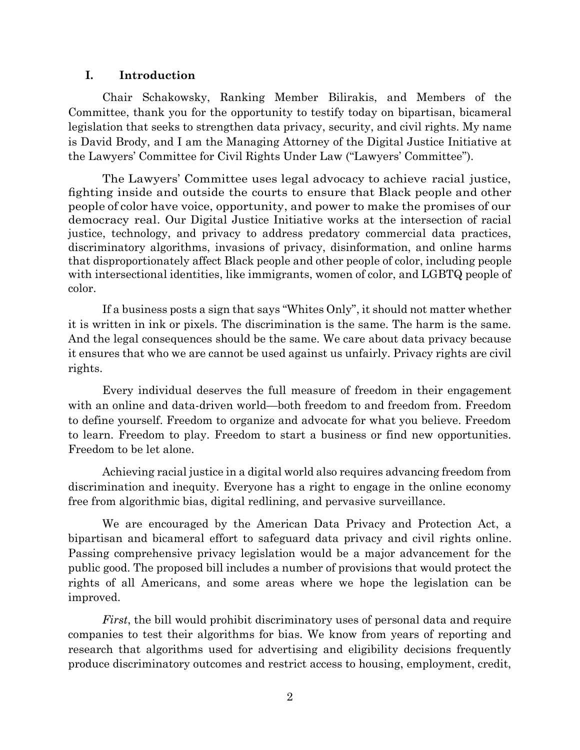#### **I. Introduction**

Chair Schakowsky, Ranking Member Bilirakis, and Members of the Committee, thank you for the opportunity to testify today on bipartisan, bicameral legislation that seeks to strengthen data privacy, security, and civil rights. My name is David Brody, and I am the Managing Attorney of the Digital Justice Initiative at the Lawyers' Committee for Civil Rights Under Law ("Lawyers' Committee").

The Lawyers' Committee uses legal advocacy to achieve racial justice, fighting inside and outside the courts to ensure that Black people and other people of color have voice, opportunity, and power to make the promises of our democracy real. Our Digital Justice Initiative works at the intersection of racial justice, technology, and privacy to address predatory commercial data practices, discriminatory algorithms, invasions of privacy, disinformation, and online harms that disproportionately affect Black people and other people of color, including people with intersectional identities, like immigrants, women of color, and LGBTQ people of color.

If a business posts a sign that says "Whites Only", it should not matter whether it is written in ink or pixels. The discrimination is the same. The harm is the same. And the legal consequences should be the same. We care about data privacy because it ensures that who we are cannot be used against us unfairly. Privacy rights are civil rights.

Every individual deserves the full measure of freedom in their engagement with an online and data-driven world—both freedom to and freedom from. Freedom to define yourself. Freedom to organize and advocate for what you believe. Freedom to learn. Freedom to play. Freedom to start a business or find new opportunities. Freedom to be let alone.

Achieving racial justice in a digital world also requires advancing freedom from discrimination and inequity. Everyone has a right to engage in the online economy free from algorithmic bias, digital redlining, and pervasive surveillance.

We are encouraged by the American Data Privacy and Protection Act, a bipartisan and bicameral effort to safeguard data privacy and civil rights online. Passing comprehensive privacy legislation would be a major advancement for the public good. The proposed bill includes a number of provisions that would protect the rights of all Americans, and some areas where we hope the legislation can be improved.

*First*, the bill would prohibit discriminatory uses of personal data and require companies to test their algorithms for bias. We know from years of reporting and research that algorithms used for advertising and eligibility decisions frequently produce discriminatory outcomes and restrict access to housing, employment, credit,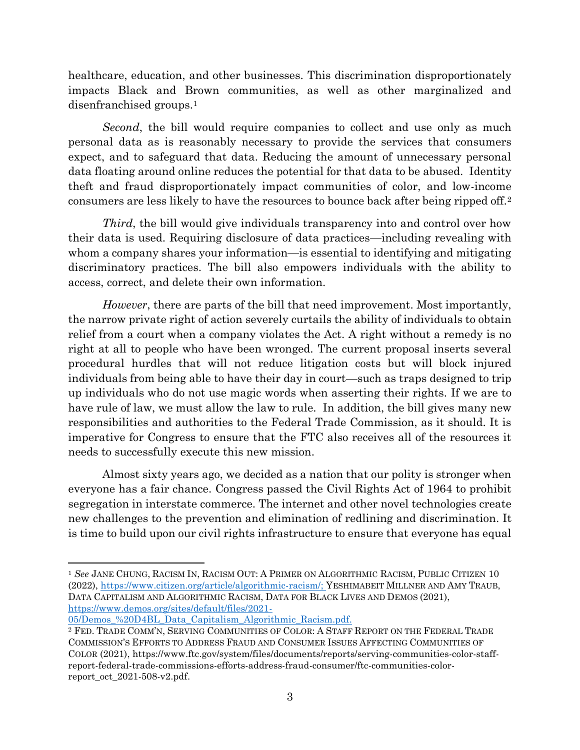healthcare, education, and other businesses. This discrimination disproportionately impacts Black and Brown communities, as well as other marginalized and disenfranchised groups.<sup>1</sup>

*Second*, the bill would require companies to collect and use only as much personal data as is reasonably necessary to provide the services that consumers expect, and to safeguard that data. Reducing the amount of unnecessary personal data floating around online reduces the potential for that data to be abused. Identity theft and fraud disproportionately impact communities of color, and low-income consumers are less likely to have the resources to bounce back after being ripped off.<sup>2</sup>

*Third*, the bill would give individuals transparency into and control over how their data is used. Requiring disclosure of data practices—including revealing with whom a company shares your information—is essential to identifying and mitigating discriminatory practices. The bill also empowers individuals with the ability to access, correct, and delete their own information.

*However*, there are parts of the bill that need improvement. Most importantly, the narrow private right of action severely curtails the ability of individuals to obtain relief from a court when a company violates the Act. A right without a remedy is no right at all to people who have been wronged. The current proposal inserts several procedural hurdles that will not reduce litigation costs but will block injured individuals from being able to have their day in court—such as traps designed to trip up individuals who do not use magic words when asserting their rights. If we are to have rule of law, we must allow the law to rule. In addition, the bill gives many new responsibilities and authorities to the Federal Trade Commission, as it should. It is imperative for Congress to ensure that the FTC also receives all of the resources it needs to successfully execute this new mission.

Almost sixty years ago, we decided as a nation that our polity is stronger when everyone has a fair chance. Congress passed the Civil Rights Act of 1964 to prohibit segregation in interstate commerce. The internet and other novel technologies create new challenges to the prevention and elimination of redlining and discrimination. It is time to build upon our civil rights infrastructure to ensure that everyone has equal

<sup>1</sup> *See* JANE CHUNG, RACISM IN, RACISM OUT: A PRIMER ON ALGORITHMIC RACISM, PUBLIC CITIZEN 10 (2022), [https://www.citizen.org/article/algorithmic-racism/;](https://www.citizen.org/article/algorithmic-racism/) YESHIMABEIT MILLNER AND AMY TRAUB, DATA CAPITALISM AND ALGORITHMIC RACISM, DATA FOR BLACK LIVES AND DEMOS (2021), [https://www.demos.org/sites/default/files/2021-](https://www.demos.org/sites/default/files/2021-05/Demos_%20D4BL_Data_Capitalism_Algorithmic_Racism.pdf)

[<sup>05/</sup>Demos\\_%20D4BL\\_Data\\_Capitalism\\_Algorithmic\\_Racism.pdf.](https://www.demos.org/sites/default/files/2021-05/Demos_%20D4BL_Data_Capitalism_Algorithmic_Racism.pdf)

<sup>2</sup> FED. TRADE COMM'N, SERVING COMMUNITIES OF COLOR: A STAFF REPORT ON THE FEDERAL TRADE COMMISSION'S EFFORTS TO ADDRESS FRAUD AND CONSUMER ISSUES AFFECTING COMMUNITIES OF COLOR (2021), https://www.ftc.gov/system/files/documents/reports/serving-communities-color-staffreport-federal-trade-commissions-efforts-address-fraud-consumer/ftc-communities-colorreport\_oct\_2021-508-v2.pdf.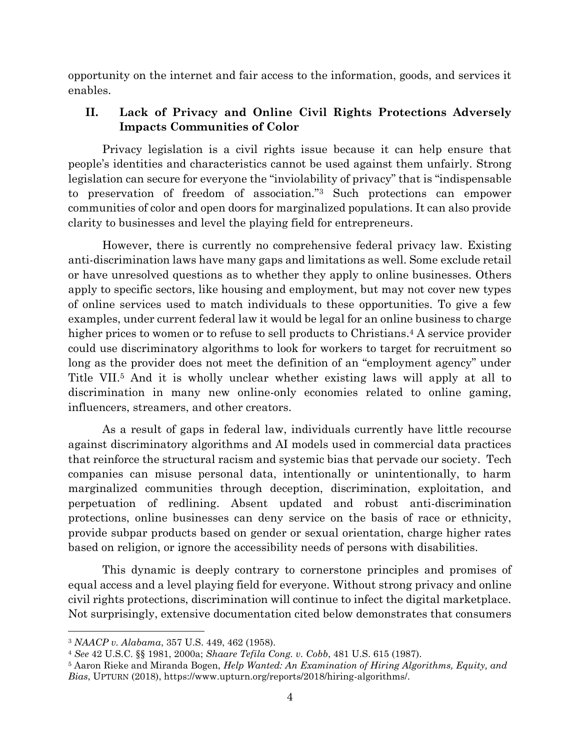opportunity on the internet and fair access to the information, goods, and services it enables.

## **II. Lack of Privacy and Online Civil Rights Protections Adversely Impacts Communities of Color**

Privacy legislation is a civil rights issue because it can help ensure that people's identities and characteristics cannot be used against them unfairly. Strong legislation can secure for everyone the "inviolability of privacy" that is "indispensable to preservation of freedom of association."<sup>3</sup> Such protections can empower communities of color and open doors for marginalized populations. It can also provide clarity to businesses and level the playing field for entrepreneurs.

However, there is currently no comprehensive federal privacy law. Existing anti-discrimination laws have many gaps and limitations as well. Some exclude retail or have unresolved questions as to whether they apply to online businesses. Others apply to specific sectors, like housing and employment, but may not cover new types of online services used to match individuals to these opportunities. To give a few examples, under current federal law it would be legal for an online business to charge higher prices to women or to refuse to sell products to Christians.<sup>4</sup> A service provider could use discriminatory algorithms to look for workers to target for recruitment so long as the provider does not meet the definition of an "employment agency" under Title VII.<sup>5</sup> And it is wholly unclear whether existing laws will apply at all to discrimination in many new online-only economies related to online gaming, influencers, streamers, and other creators.

As a result of gaps in federal law, individuals currently have little recourse against discriminatory algorithms and AI models used in commercial data practices that reinforce the structural racism and systemic bias that pervade our society. Tech companies can misuse personal data, intentionally or unintentionally, to harm marginalized communities through deception, discrimination, exploitation, and perpetuation of redlining. Absent updated and robust anti-discrimination protections, online businesses can deny service on the basis of race or ethnicity, provide subpar products based on gender or sexual orientation, charge higher rates based on religion, or ignore the accessibility needs of persons with disabilities.

This dynamic is deeply contrary to cornerstone principles and promises of equal access and a level playing field for everyone. Without strong privacy and online civil rights protections, discrimination will continue to infect the digital marketplace. Not surprisingly, extensive documentation cited below demonstrates that consumers

<sup>3</sup> *NAACP v. Alabama*, 357 U.S. 449, 462 (1958).

<sup>4</sup> *See* 42 U.S.C. §§ 1981, 2000a; *Shaare Tefila Cong. v. Cobb*, 481 U.S. 615 (1987).

<sup>5</sup> Aaron Rieke and Miranda Bogen, *Help Wanted: An Examination of Hiring Algorithms, Equity, and Bias*, UPTURN (2018), [https://www.upturn.org/reports/2018/hiring-algorithms/.](https://www.upturn.org/reports/2018/hiring-algorithms/)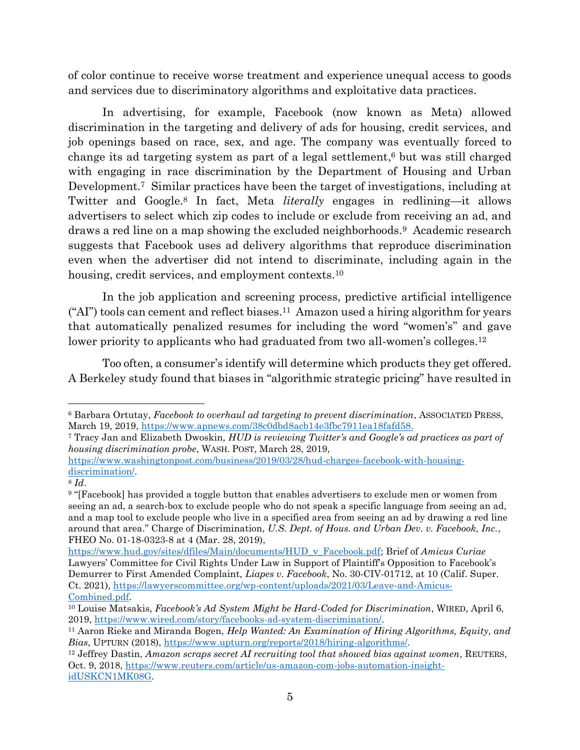of color continue to receive worse treatment and experience unequal access to goods and services due to discriminatory algorithms and exploitative data practices.

In advertising, for example, Facebook (now known as Meta) allowed discrimination in the targeting and delivery of ads for housing, credit services, and job openings based on race, sex, and age. The company was eventually forced to change its ad targeting system as part of a legal settlement, <sup>6</sup> but was still charged with engaging in race discrimination by the Department of Housing and Urban Development.<sup>7</sup> Similar practices have been the target of investigations, including at Twitter and Google.<sup>8</sup> In fact, Meta *literally* engages in redlining—it allows advertisers to select which zip codes to include or exclude from receiving an ad, and draws a red line on a map showing the excluded neighborhoods.<sup>9</sup> Academic research suggests that Facebook uses ad delivery algorithms that reproduce discrimination even when the advertiser did not intend to discriminate, including again in the housing, credit services, and employment contexts.<sup>10</sup>

In the job application and screening process, predictive artificial intelligence ("AI") tools can cement and reflect biases.<sup>11</sup> Amazon used a hiring algorithm for years that automatically penalized resumes for including the word "women's" and gave lower priority to applicants who had graduated from two all-women's colleges.<sup>12</sup>

Too often, a consumer's identify will determine which products they get offered. A Berkeley study found that biases in "algorithmic strategic pricing" have resulted in

[https://www.washingtonpost.com/business/2019/03/28/hud-charges-facebook-with-housing](https://www.washingtonpost.com/business/2019/03/28/hud-charges-facebook-with-housing-discrimination/)[discrimination/.](https://www.washingtonpost.com/business/2019/03/28/hud-charges-facebook-with-housing-discrimination/)

<sup>6</sup> Barbara Ortutay, *Facebook to overhaul ad targeting to prevent discrimination*, ASSOCIATED PRESS, March 19, 2019, [https://www.apnews.com/38c0dbd8acb14e3fbc7911ea18fafd58.](https://www.apnews.com/38c0dbd8acb14e3fbc7911ea18fafd58)

<sup>7</sup> Tracy Jan and Elizabeth Dwoskin*, HUD is reviewing Twitter's and Google's ad practices as part of housing discrimination probe*, WASH. POST, March 28, 2019,

<sup>8</sup> *Id*.

<sup>9</sup> "[Facebook] has provided a toggle button that enables advertisers to exclude men or women from seeing an ad, a search-box to exclude people who do not speak a specific language from seeing an ad, and a map tool to exclude people who live in a specified area from seeing an ad by drawing a red line around that area." Charge of Discrimination, *U.S. Dept. of Hous. and Urban Dev. v. Facebook, Inc.*, FHEO No. 01-18-0323-8 at 4 (Mar. 28, 2019),

[https://www.hud.gov/sites/dfiles/Main/documents/HUD\\_v\\_Facebook.pdf;](https://www.hud.gov/sites/dfiles/Main/documents/HUD_v_Facebook.pdf) Brief of *Amicus Curiae*  Lawyers' Committee for Civil Rights Under Law in Support of Plaintiff's Opposition to Facebook's Demurrer to First Amended Complaint, *Liapes v. Facebook*, No. 30-CIV-01712, at 10 (Calif. Super. Ct. 2021), [https://lawyerscommittee.org/wp-content/uploads/2021/03/Leave-and-Amicus-](https://lawyerscommittee.org/wp-content/uploads/2021/03/Leave-and-Amicus-Combined.pdf)[Combined.pdf.](https://lawyerscommittee.org/wp-content/uploads/2021/03/Leave-and-Amicus-Combined.pdf)

<sup>10</sup> Louise Matsakis, *Facebook's Ad System Might be Hard-Coded for Discrimination*, WIRED, April 6, 2019, [https://www.wired.com/story/facebooks-ad-system-discrimination/.](https://www.wired.com/story/facebooks-ad-system-discrimination/)

<sup>11</sup> Aaron Rieke and Miranda Bogen, *Help Wanted: An Examination of Hiring Algorithms, Equity, and Bias*, UPTURN (2018), [https://www.upturn.org/reports/2018/hiring-algorithms/.](https://www.upturn.org/reports/2018/hiring-algorithms/)

<sup>12</sup> Jeffrey Dastin, *Amazon scraps secret AI recruiting tool that showed bias against women*, REUTERS, Oct. 9, 2018, [https://www.reuters.com/article/us-amazon-com-jobs-automation-insight](https://www.reuters.com/article/us-amazon-com-jobs-automation-insight-idUSKCN1MK08G)[idUSKCN1MK08G.](https://www.reuters.com/article/us-amazon-com-jobs-automation-insight-idUSKCN1MK08G)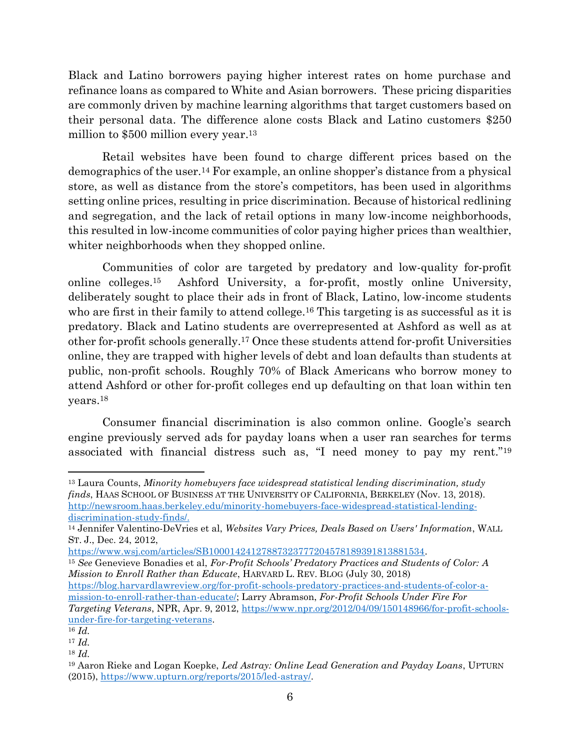Black and Latino borrowers paying higher interest rates on home purchase and refinance loans as compared to White and Asian borrowers. These pricing disparities are commonly driven by machine learning algorithms that target customers based on their personal data. The difference alone costs Black and Latino customers \$250 million to \$500 million every year.<sup>13</sup>

Retail websites have been found to charge different prices based on the demographics of the user.<sup>14</sup> For example, an online shopper's distance from a physical store, as well as distance from the store's competitors, has been used in algorithms setting online prices, resulting in price discrimination. Because of historical redlining and segregation, and the lack of retail options in many low-income neighborhoods, this resulted in low-income communities of color paying higher prices than wealthier, whiter neighborhoods when they shopped online.

Communities of color are targeted by predatory and low-quality for-profit online colleges.<sup>15</sup> Ashford University, a for-profit, mostly online University, deliberately sought to place their ads in front of Black, Latino, low-income students who are first in their family to attend college.<sup>16</sup> This targeting is as successful as it is predatory. Black and Latino students are overrepresented at Ashford as well as at other for-profit schools generally.<sup>17</sup> Once these students attend for-profit Universities online, they are trapped with higher levels of debt and loan defaults than students at public, non-profit schools. Roughly 70% of Black Americans who borrow money to attend Ashford or other for-profit colleges end up defaulting on that loan within ten years.<sup>18</sup>

Consumer financial discrimination is also common online. Google's search engine previously served ads for payday loans when a user ran searches for terms associated with financial distress such as, "I need money to pay my rent."<sup>19</sup>

<sup>15</sup> *See* Genevieve Bonadies et al, *For-Profit Schools' Predatory Practices and Students of Color: A Mission to Enroll Rather than Educate*, HARVARD L. REV. BLOG (July 30, 2018)

[https://blog.harvardlawreview.org/for-profit-schools-predatory-practices-and-students-of-color-a](https://blog.harvardlawreview.org/for-profit-schools-predatory-practices-and-students-of-color-a-mission-to-enroll-rather-than-educate/)[mission-to-enroll-rather-than-educate/;](https://blog.harvardlawreview.org/for-profit-schools-predatory-practices-and-students-of-color-a-mission-to-enroll-rather-than-educate/) Larry Abramson, *For-Profit Schools Under Fire For Targeting Veterans*, NPR, Apr. 9, 2012, [https://www.npr.org/2012/04/09/150148966/for-profit-schools](https://www.npr.org/2012/04/09/150148966/for-profit-schools-under-fire-for-targeting-veterans)[under-fire-for-targeting-veterans.](https://www.npr.org/2012/04/09/150148966/for-profit-schools-under-fire-for-targeting-veterans)

<sup>13</sup> Laura Counts, *Minority homebuyers face widespread statistical lending discrimination, study finds*, HAAS SCHOOL OF BUSINESS AT THE UNIVERSITY OF CALIFORNIA, BERKELEY (Nov. 13, 2018). [http://newsroom.haas.berkeley.edu/minority-homebuyers-face-widespread-statistical-lending](http://newsroom.haas.berkeley.edu/minority-homebuyers-face-widespread-statistical-lending-discrimination-study-finds/)[discrimination-study-finds/.](http://newsroom.haas.berkeley.edu/minority-homebuyers-face-widespread-statistical-lending-discrimination-study-finds/)

<sup>14</sup> Jennifer Valentino-DeVries et al, *Websites Vary Prices, Deals Based on Users' Information*, WALL ST. J., Dec. 24, 2012,

[https://www.wsj.com/articles/SB10001424127887323777204578189391813881534.](https://www.wsj.com/articles/SB10001424127887323777204578189391813881534)

<sup>16</sup> *Id.*

<sup>17</sup> *Id.*

<sup>18</sup> *Id.*

<sup>19</sup> Aaron Rieke and Logan Koepke, *Led Astray: Online Lead Generation and Payday Loans*, UPTURN (2015), [https://www.upturn.org/reports/2015/led-astray/.](https://www.upturn.org/reports/2015/led-astray/)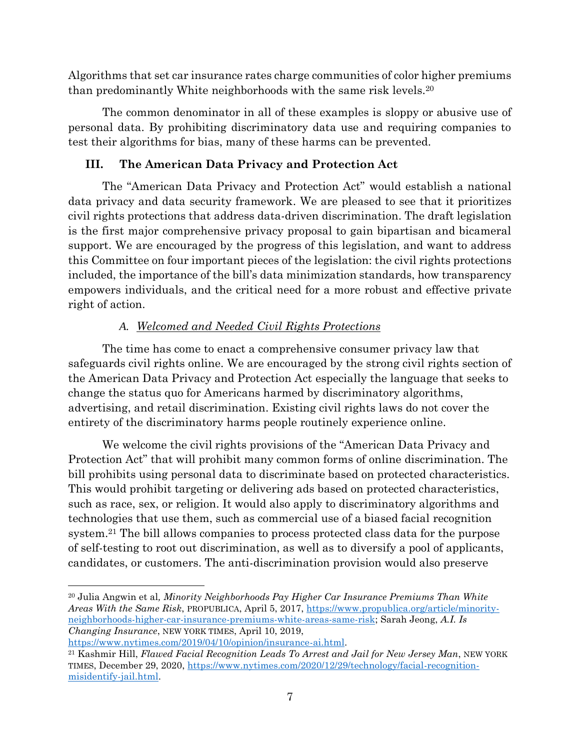Algorithms that set car insurance rates charge communities of color higher premiums than predominantly White neighborhoods with the same risk levels.<sup>20</sup>

The common denominator in all of these examples is sloppy or abusive use of personal data. By prohibiting discriminatory data use and requiring companies to test their algorithms for bias, many of these harms can be prevented.

## **III. The American Data Privacy and Protection Act**

The "American Data Privacy and Protection Act" would establish a national data privacy and data security framework. We are pleased to see that it prioritizes civil rights protections that address data-driven discrimination. The draft legislation is the first major comprehensive privacy proposal to gain bipartisan and bicameral support. We are encouraged by the progress of this legislation, and want to address this Committee on four important pieces of the legislation: the civil rights protections included, the importance of the bill's data minimization standards, how transparency empowers individuals, and the critical need for a more robust and effective private right of action.

## *A. Welcomed and Needed Civil Rights Protections*

The time has come to enact a comprehensive consumer privacy law that safeguards civil rights online. We are encouraged by the strong civil rights section of the American Data Privacy and Protection Act especially the language that seeks to change the status quo for Americans harmed by discriminatory algorithms, advertising, and retail discrimination. Existing civil rights laws do not cover the entirety of the discriminatory harms people routinely experience online.

We welcome the civil rights provisions of the "American Data Privacy and Protection Act" that will prohibit many common forms of online discrimination. The bill prohibits using personal data to discriminate based on protected characteristics. This would prohibit targeting or delivering ads based on protected characteristics, such as race, sex, or religion. It would also apply to discriminatory algorithms and technologies that use them, such as commercial use of a biased facial recognition system.<sup>21</sup> The bill allows companies to process protected class data for the purpose of self-testing to root out discrimination, as well as to diversify a pool of applicants, candidates, or customers. The anti-discrimination provision would also preserve

<sup>20</sup> Julia Angwin et al*, Minority Neighborhoods Pay Higher Car Insurance Premiums Than White Areas With the Same Risk*, PROPUBLICA, April 5, 2017, [https://www.propublica.org/article/minority](https://www.propublica.org/article/minority-neighborhoods-higher-car-insurance-premiums-white-areas-same-risk)[neighborhoods-higher-car-insurance-premiums-white-areas-same-risk;](https://www.propublica.org/article/minority-neighborhoods-higher-car-insurance-premiums-white-areas-same-risk) Sarah Jeong, *A.I. Is Changing Insurance*, NEW YORK TIMES, April 10, 2019,

[https://www.nytimes.com/2019/04/10/opinion/insurance-ai.html.](https://www.nytimes.com/2019/04/10/opinion/insurance-ai.html) <sup>21</sup> Kashmir Hill, *Flawed Facial Recognition Leads To Arrest and Jail for New Jersey Man*, NEW YORK TIMES, December 29, 2020, [https://www.nytimes.com/2020/12/29/technology/facial-recognition](https://www.nytimes.com/2020/12/29/technology/facial-recognition-misidentify-jail.html)[misidentify-jail.html.](https://www.nytimes.com/2020/12/29/technology/facial-recognition-misidentify-jail.html)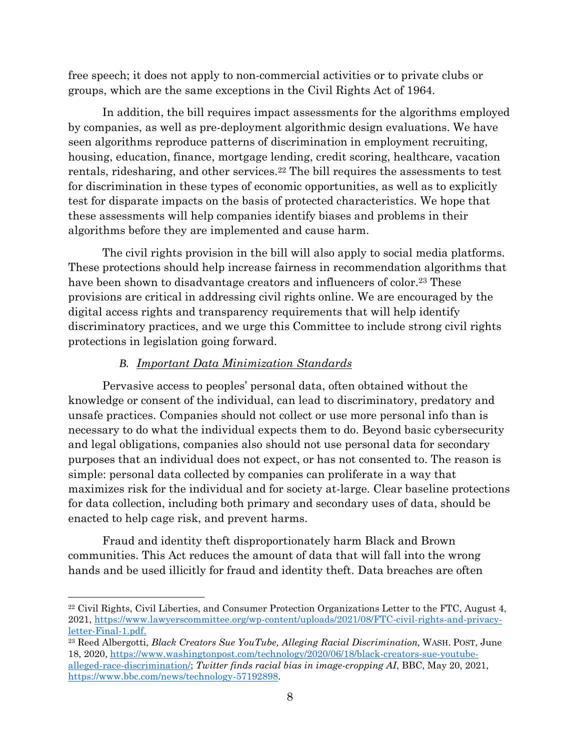free speech; it does not apply to non-commercial activities or to private clubs or groups, which are the same exceptions in the Civil Rights Act of 1964.

In addition, the bill requires impact assessments for the algorithms employed by companies, as well as pre-deployment algorithmic design evaluations. We have seen algorithms reproduce patterns of discrimination in employment recruiting, housing, education, finance, mortgage lending, credit scoring, healthcare, vacation rentals, ridesharing, and other services.<sup>22</sup> The bill requires the assessments to test for discrimination in these types of economic opportunities, as well as to explicitly test for disparate impacts on the basis of protected characteristics. We hope that these assessments will help companies identify biases and problems in their algorithms before they are implemented and cause harm.

The civil rights provision in the bill will also apply to social media platforms. These protections should help increase fairness in recommendation algorithms that have been shown to disadvantage creators and influencers of color.<sup>23</sup> These provisions are critical in addressing civil rights online. We are encouraged by the digital access rights and transparency requirements that will help identify discriminatory practices, and we urge this Committee to include strong civil rights protections in legislation going forward.

#### *B. Important Data Minimization Standards*

Pervasive access to peoples' personal data, often obtained without the knowledge or consent of the individual, can lead to discriminatory, predatory and unsafe practices. Companies should not collect or use more personal info than is necessary to do what the individual expects them to do. Beyond basic cybersecurity and legal obligations, companies also should not use personal data for secondary purposes that an individual does not expect, or has not consented to. The reason is simple: personal data collected by companies can proliferate in a way that maximizes risk for the individual and for society at-large. Clear baseline protections for data collection, including both primary and secondary uses of data, should be enacted to help cage risk, and prevent harms.

Fraud and identity theft disproportionately harm Black and Brown communities. This Act reduces the amount of data that will fall into the wrong hands and be used illicitly for fraud and identity theft. Data breaches are often

<sup>22</sup> Civil Rights, Civil Liberties, and Consumer Protection Organizations Letter to the FTC, August 4, 2021, [https://www.lawyerscommittee.org/wp-content/uploads/2021/08/FTC-civil-rights-and-privacy](https://www.lawyerscommittee.org/wp-content/uploads/2021/08/FTC-civil-rights-and-privacy-letter-Final-1.pdf)[letter-Final-1.pdf.](https://www.lawyerscommittee.org/wp-content/uploads/2021/08/FTC-civil-rights-and-privacy-letter-Final-1.pdf)

<sup>23</sup> Reed Albergotti, *Black Creators Sue YouTube, Alleging Racial Discrimination,* WASH. POST, June 18, 2020, [https://www.washingtonpost.com/technology/2020/06/18/black-creators-sue-youtube](https://www.washingtonpost.com/technology/2020/06/18/black-creators-sue-youtube-alleged-race-discrimination/)[alleged-race-discrimination/;](https://www.washingtonpost.com/technology/2020/06/18/black-creators-sue-youtube-alleged-race-discrimination/) *Twitter finds racial bias in image-cropping AI*, BBC, May 20, 2021, [https://www.bbc.com/news/technology-57192898.](https://www.bbc.com/news/technology-57192898)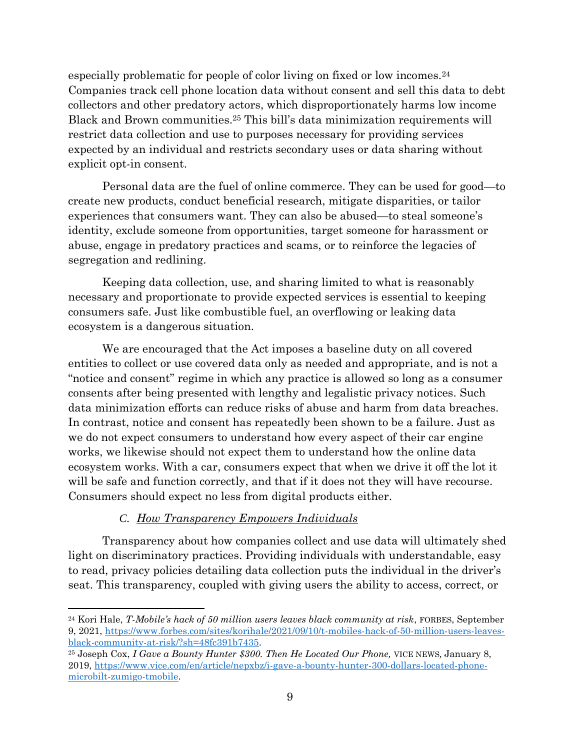especially problematic for people of color living on fixed or low incomes.<sup>24</sup> Companies track cell phone location data without consent and sell this data to debt collectors and other predatory actors, which disproportionately harms low income Black and Brown communities. <sup>25</sup> This bill's data minimization requirements will restrict data collection and use to purposes necessary for providing services expected by an individual and restricts secondary uses or data sharing without explicit opt-in consent.

Personal data are the fuel of online commerce. They can be used for good—to create new products, conduct beneficial research, mitigate disparities, or tailor experiences that consumers want. They can also be abused—to steal someone's identity, exclude someone from opportunities, target someone for harassment or abuse, engage in predatory practices and scams, or to reinforce the legacies of segregation and redlining.

Keeping data collection, use, and sharing limited to what is reasonably necessary and proportionate to provide expected services is essential to keeping consumers safe. Just like combustible fuel, an overflowing or leaking data ecosystem is a dangerous situation.

We are encouraged that the Act imposes a baseline duty on all covered entities to collect or use covered data only as needed and appropriate, and is not a "notice and consent" regime in which any practice is allowed so long as a consumer consents after being presented with lengthy and legalistic privacy notices. Such data minimization efforts can reduce risks of abuse and harm from data breaches. In contrast, notice and consent has repeatedly been shown to be a failure. Just as we do not expect consumers to understand how every aspect of their car engine works, we likewise should not expect them to understand how the online data ecosystem works. With a car, consumers expect that when we drive it off the lot it will be safe and function correctly, and that if it does not they will have recourse. Consumers should expect no less from digital products either.

### *C. How Transparency Empowers Individuals*

Transparency about how companies collect and use data will ultimately shed light on discriminatory practices. Providing individuals with understandable, easy to read, privacy policies detailing data collection puts the individual in the driver's seat. This transparency, coupled with giving users the ability to access, correct, or

<sup>24</sup> Kori Hale, *T-Mobile's hack of 50 million users leaves black community at risk*, FORBES, September 9, 2021, [https://www.forbes.com/sites/korihale/2021/09/10/t-mobiles-hack-of-50-million-users-leaves](https://www.forbes.com/sites/korihale/2021/09/10/t-mobiles-hack-of-50-million-users-leaves-black-community-at-risk/?sh=48fc391b7435)[black-community-at-risk/?sh=48fc391b7435.](https://www.forbes.com/sites/korihale/2021/09/10/t-mobiles-hack-of-50-million-users-leaves-black-community-at-risk/?sh=48fc391b7435)

<sup>25</sup> Joseph Cox, *I Gave a Bounty Hunter \$300. Then He Located Our Phone,* VICE NEWS*,* January 8, 2019, [https://www.vice.com/en/article/nepxbz/i-gave-a-bounty-hunter-300-dollars-located-phone](https://www.vice.com/en/article/nepxbz/i-gave-a-bounty-hunter-300-dollars-located-phone-microbilt-zumigo-tmobile)[microbilt-zumigo-tmobile.](https://www.vice.com/en/article/nepxbz/i-gave-a-bounty-hunter-300-dollars-located-phone-microbilt-zumigo-tmobile)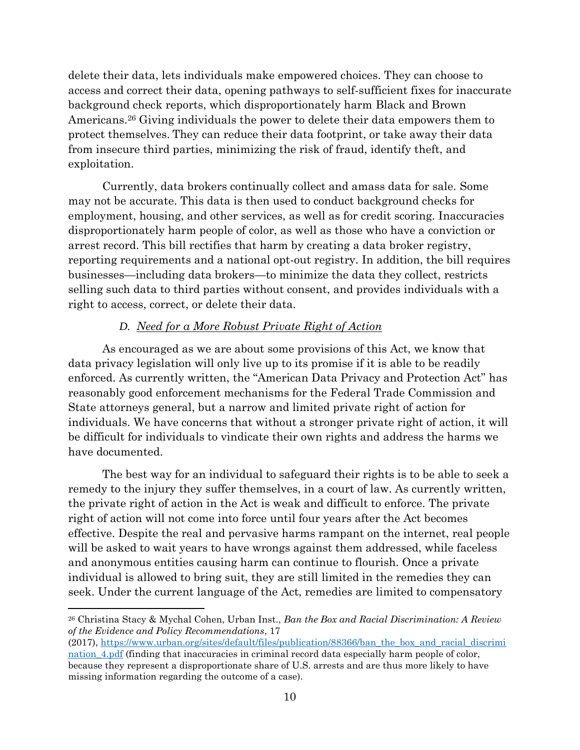delete their data, lets individuals make empowered choices. They can choose to access and correct their data, opening pathways to self-sufficient fixes for inaccurate background check reports, which disproportionately harm Black and Brown Americans.<sup>26</sup> Giving individuals the power to delete their data empowers them to protect themselves. They can reduce their data footprint, or take away their data from insecure third parties, minimizing the risk of fraud, identify theft, and exploitation.

Currently, data brokers continually collect and amass data for sale. Some may not be accurate. This data is then used to conduct background checks for employment, housing, and other services, as well as for credit scoring. Inaccuracies disproportionately harm people of color, as well as those who have a conviction or arrest record. This bill rectifies that harm by creating a data broker registry, reporting requirements and a national opt-out registry. In addition, the bill requires businesses—including data brokers—to minimize the data they collect, restricts selling such data to third parties without consent, and provides individuals with a right to access, correct, or delete their data.

### *D. Need for a More Robust Private Right of Action*

As encouraged as we are about some provisions of this Act, we know that data privacy legislation will only live up to its promise if it is able to be readily enforced. As currently written, the "American Data Privacy and Protection Act" has reasonably good enforcement mechanisms for the Federal Trade Commission and State attorneys general, but a narrow and limited private right of action for individuals. We have concerns that without a stronger private right of action, it will be difficult for individuals to vindicate their own rights and address the harms we have documented.

The best way for an individual to safeguard their rights is to be able to seek a remedy to the injury they suffer themselves, in a court of law. As currently written, the private right of action in the Act is weak and difficult to enforce. The private right of action will not come into force until four years after the Act becomes effective. Despite the real and pervasive harms rampant on the internet, real people will be asked to wait years to have wrongs against them addressed, while faceless and anonymous entities causing harm can continue to flourish. Once a private individual is allowed to bring suit, they are still limited in the remedies they can seek. Under the current language of the Act, remedies are limited to compensatory

<sup>26</sup> Christina Stacy & Mychal Cohen, Urban Inst., *Ban the Box and Racial Discrimination: A Review of the Evidence and Policy Recommendations*, 17

<sup>(2017),</sup> [https://www.urban.org/sites/default/files/publication/88366/ban\\_the\\_box\\_and\\_racial\\_discrimi](https://www.urban.org/sites/default/files/publication/88366/ban_the_box_and_racial_discrimination_4.pdf) nation 4.pdf (finding that inaccuracies in criminal record data especially harm people of color, because they represent a disproportionate share of U.S. arrests and are thus more likely to have missing information regarding the outcome of a case).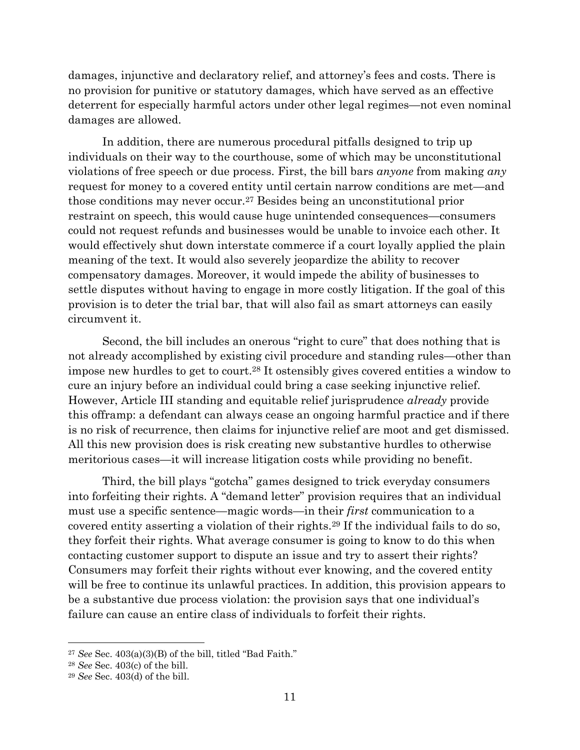damages, injunctive and declaratory relief, and attorney's fees and costs. There is no provision for punitive or statutory damages, which have served as an effective deterrent for especially harmful actors under other legal regimes—not even nominal damages are allowed.

In addition, there are numerous procedural pitfalls designed to trip up individuals on their way to the courthouse, some of which may be unconstitutional violations of free speech or due process. First, the bill bars *anyone* from making *any*  request for money to a covered entity until certain narrow conditions are met—and those conditions may never occur. <sup>27</sup> Besides being an unconstitutional prior restraint on speech, this would cause huge unintended consequences—consumers could not request refunds and businesses would be unable to invoice each other. It would effectively shut down interstate commerce if a court loyally applied the plain meaning of the text. It would also severely jeopardize the ability to recover compensatory damages. Moreover, it would impede the ability of businesses to settle disputes without having to engage in more costly litigation. If the goal of this provision is to deter the trial bar, that will also fail as smart attorneys can easily circumvent it.

Second, the bill includes an onerous "right to cure" that does nothing that is not already accomplished by existing civil procedure and standing rules—other than impose new hurdles to get to court.<sup>28</sup> It ostensibly gives covered entities a window to cure an injury before an individual could bring a case seeking injunctive relief. However, Article III standing and equitable relief jurisprudence *already* provide this offramp: a defendant can always cease an ongoing harmful practice and if there is no risk of recurrence, then claims for injunctive relief are moot and get dismissed. All this new provision does is risk creating new substantive hurdles to otherwise meritorious cases—it will increase litigation costs while providing no benefit.

Third, the bill plays "gotcha" games designed to trick everyday consumers into forfeiting their rights. A "demand letter" provision requires that an individual must use a specific sentence—magic words—in their *first* communication to a covered entity asserting a violation of their rights.<sup>29</sup> If the individual fails to do so, they forfeit their rights. What average consumer is going to know to do this when contacting customer support to dispute an issue and try to assert their rights? Consumers may forfeit their rights without ever knowing, and the covered entity will be free to continue its unlawful practices. In addition, this provision appears to be a substantive due process violation: the provision says that one individual's failure can cause an entire class of individuals to forfeit their rights.

<sup>27</sup> *See* Sec. 403(a)(3)(B) of the bill, titled "Bad Faith."

<sup>28</sup> *See* Sec. 403(c) of the bill.

<sup>29</sup> *See* Sec. 403(d) of the bill.